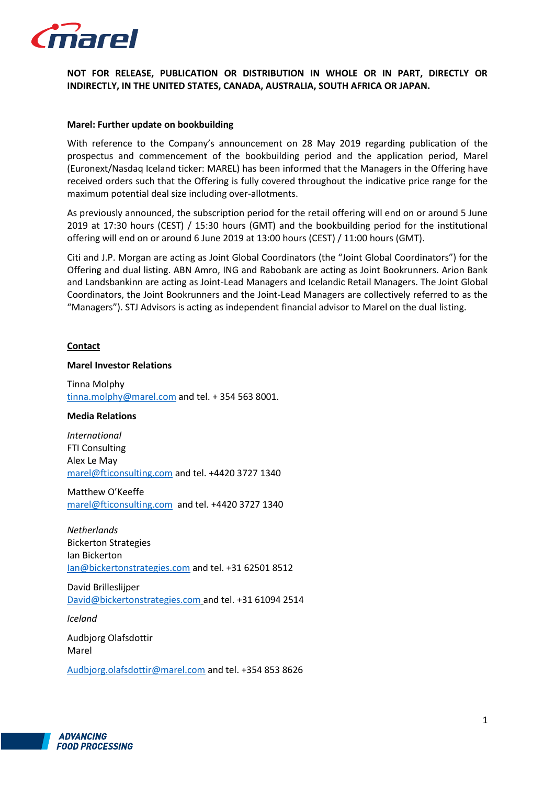

# **NOT FOR RELEASE, PUBLICATION OR DISTRIBUTION IN WHOLE OR IN PART, DIRECTLY OR INDIRECTLY, IN THE UNITED STATES, CANADA, AUSTRALIA, SOUTH AFRICA OR JAPAN.**

# **Marel: Further update on bookbuilding**

With reference to the Company's announcement on 28 May 2019 regarding publication of the prospectus and commencement of the bookbuilding period and the application period, Marel (Euronext/Nasdaq Iceland ticker: MAREL) has been informed that the Managers in the Offering have received orders such that the Offering is fully covered throughout the indicative price range for the maximum potential deal size including over-allotments.

As previously announced, the subscription period for the retail offering will end on or around 5 June 2019 at 17:30 hours (CEST) / 15:30 hours (GMT) and the bookbuilding period for the institutional offering will end on or around 6 June 2019 at 13:00 hours (CEST) / 11:00 hours (GMT).

Citi and J.P. Morgan are acting as Joint Global Coordinators (the "Joint Global Coordinators") for the Offering and dual listing. ABN Amro, ING and Rabobank are acting as Joint Bookrunners. Arion Bank and Landsbankinn are acting as Joint-Lead Managers and Icelandic Retail Managers. The Joint Global Coordinators, the Joint Bookrunners and the Joint-Lead Managers are collectively referred to as the "Managers"). STJ Advisors is acting as independent financial advisor to Marel on the dual listing.

#### **Contact**

#### **Marel Investor Relations**

Tinna Molphy [tinna.molphy@marel.com](mailto:tinna.molphy@marel.com) and tel. + 354 563 8001.

## **Media Relations**

*International* FTI Consulting Alex Le May [marel@fticonsulting.com](mailto:marel@fticonsulting.com) and tel. +4420 3727 1340

Matthew O'Keeffe [marel@fticonsulting.com](mailto:marel@fticonsulting.com) and tel. +4420 3727 1340

*Netherlands* Bickerton Strategies Ian Bickerton [Ian@bickertonstrategies.com](mailto:Ian@bickertonstrategies.com) and tel. +31 62501 8512

David Brilleslijper [David@bickertonstrategies.com](mailto:David@bickertonstrategies.com) and tel. +31 61094 2514

*Iceland*

Audbjorg Olafsdottir Marel

[Audbjorg.olafsdottir@marel.com](mailto:Audbjorg.olafsdottir@marel.com) and tel. +354 853 8626

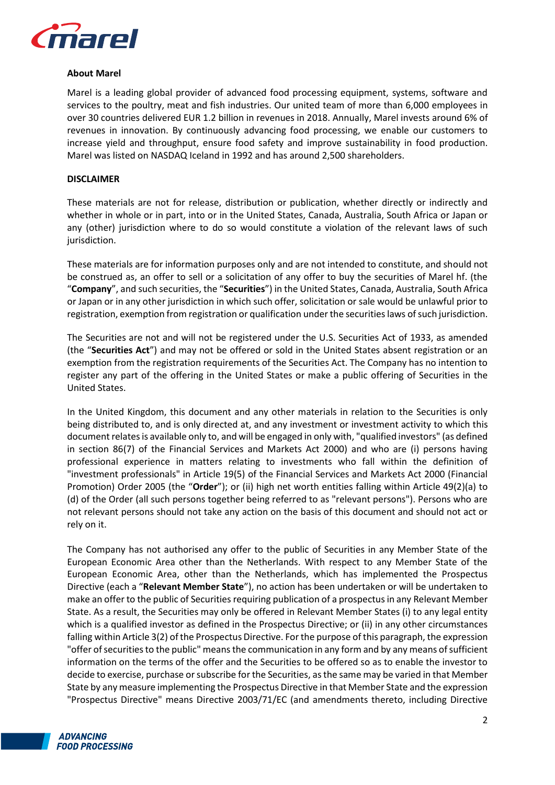

# **About Marel**

Marel is a leading global provider of advanced food processing equipment, systems, software and services to the poultry, meat and fish industries. Our united team of more than 6,000 employees in over 30 countries delivered EUR 1.2 billion in revenues in 2018. Annually, Marel invests around 6% of revenues in innovation. By continuously advancing food processing, we enable our customers to increase yield and throughput, ensure food safety and improve sustainability in food production. Marel was listed on NASDAQ Iceland in 1992 and has around 2,500 shareholders.

# **DISCLAIMER**

These materials are not for release, distribution or publication, whether directly or indirectly and whether in whole or in part, into or in the United States, Canada, Australia, South Africa or Japan or any (other) jurisdiction where to do so would constitute a violation of the relevant laws of such jurisdiction.

These materials are for information purposes only and are not intended to constitute, and should not be construed as, an offer to sell or a solicitation of any offer to buy the securities of Marel hf. (the "**Company**", and such securities, the "**Securities**") in the United States, Canada, Australia, South Africa or Japan or in any other jurisdiction in which such offer, solicitation or sale would be unlawful prior to registration, exemption from registration or qualification under the securities laws of such jurisdiction.

The Securities are not and will not be registered under the U.S. Securities Act of 1933, as amended (the "**Securities Act**") and may not be offered or sold in the United States absent registration or an exemption from the registration requirements of the Securities Act. The Company has no intention to register any part of the offering in the United States or make a public offering of Securities in the United States.

In the United Kingdom, this document and any other materials in relation to the Securities is only being distributed to, and is only directed at, and any investment or investment activity to which this document relates is available only to, and will be engaged in only with, "qualified investors" (as defined in section 86(7) of the Financial Services and Markets Act 2000) and who are (i) persons having professional experience in matters relating to investments who fall within the definition of "investment professionals" in Article 19(5) of the Financial Services and Markets Act 2000 (Financial Promotion) Order 2005 (the "**Order**"); or (ii) high net worth entities falling within Article 49(2)(a) to (d) of the Order (all such persons together being referred to as "relevant persons"). Persons who are not relevant persons should not take any action on the basis of this document and should not act or rely on it.

The Company has not authorised any offer to the public of Securities in any Member State of the European Economic Area other than the Netherlands. With respect to any Member State of the European Economic Area, other than the Netherlands, which has implemented the Prospectus Directive (each a "**Relevant Member State**"), no action has been undertaken or will be undertaken to make an offer to the public of Securities requiring publication of a prospectus in any Relevant Member State. As a result, the Securities may only be offered in Relevant Member States (i) to any legal entity which is a qualified investor as defined in the Prospectus Directive; or (ii) in any other circumstances falling within Article 3(2) of the Prospectus Directive. For the purpose of this paragraph, the expression "offer of securities to the public" means the communication in any form and by any means of sufficient information on the terms of the offer and the Securities to be offered so as to enable the investor to decide to exercise, purchase or subscribe for the Securities, as the same may be varied in that Member State by any measure implementing the Prospectus Directive in that Member State and the expression "Prospectus Directive" means Directive 2003/71/EC (and amendments thereto, including Directive